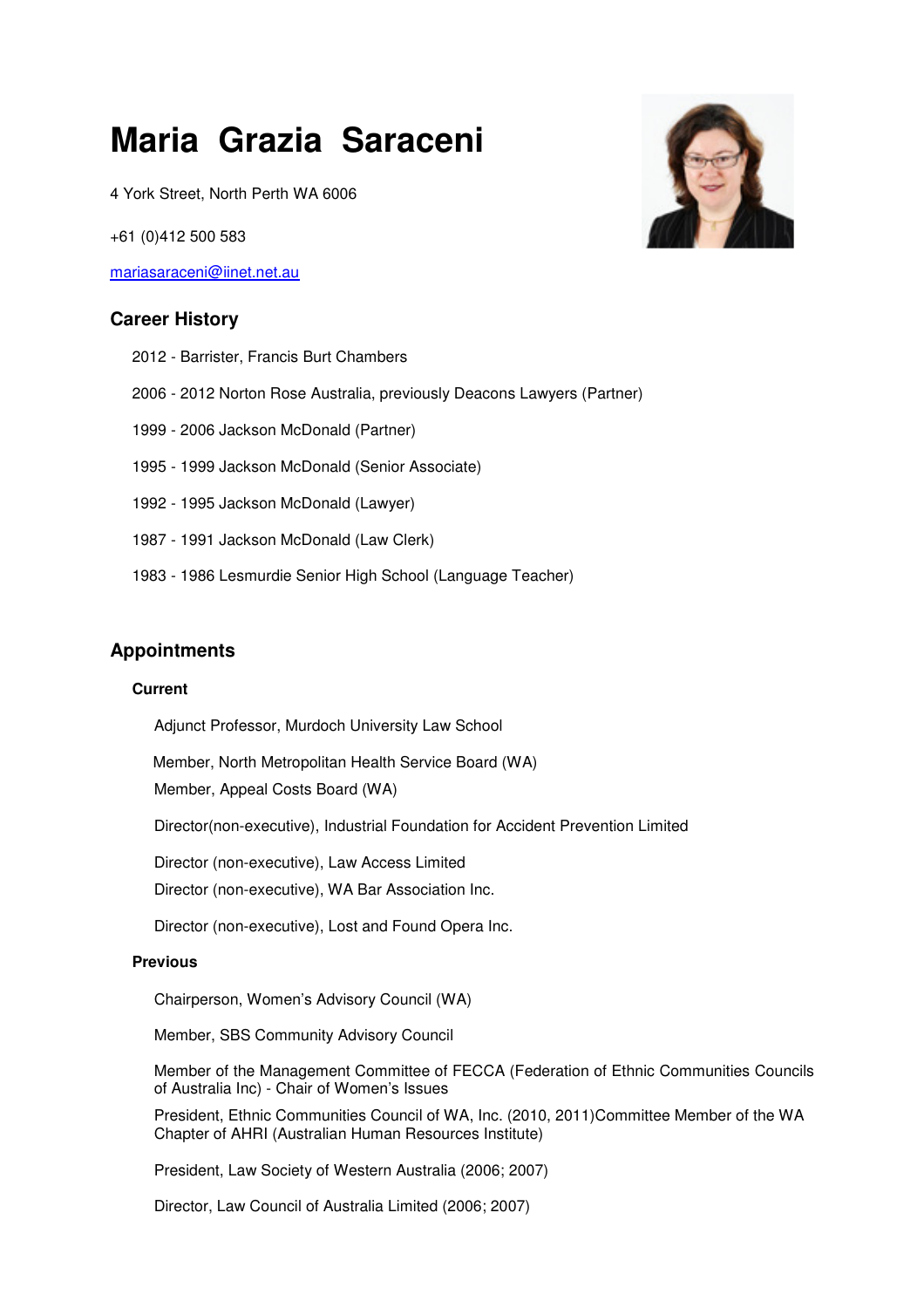# **Maria Grazia Saraceni**

4 York Street, North Perth WA 6006

+61 (0)412 500 583

mariasaraceni@iinet.net.au

## **Career History**

- 2012 Barrister, Francis Burt Chambers
- 2006 2012 Norton Rose Australia, previously Deacons Lawyers (Partner)
- 1999 2006 Jackson McDonald (Partner)
- 1995 1999 Jackson McDonald (Senior Associate)
- 1992 1995 Jackson McDonald (Lawyer)
- 1987 1991 Jackson McDonald (Law Clerk)
- 1983 1986 Lesmurdie Senior High School (Language Teacher)

# **Appointments**

#### **Current**

Adjunct Professor, Murdoch University Law School

Member, North Metropolitan Health Service Board (WA)

Member, Appeal Costs Board (WA)

Director(non-executive), Industrial Foundation for Accident Prevention Limited

Director (non-executive), Law Access Limited

Director (non-executive), WA Bar Association Inc.

Director (non-executive), Lost and Found Opera Inc.

#### **Previous**

Chairperson, Women's Advisory Council (WA)

Member, SBS Community Advisory Council

Member of the Management Committee of FECCA (Federation of Ethnic Communities Councils of Australia Inc) - Chair of Women's Issues

President, Ethnic Communities Council of WA, Inc. (2010, 2011)Committee Member of the WA Chapter of AHRI (Australian Human Resources Institute)

President, Law Society of Western Australia (2006; 2007)

Director, Law Council of Australia Limited (2006; 2007)